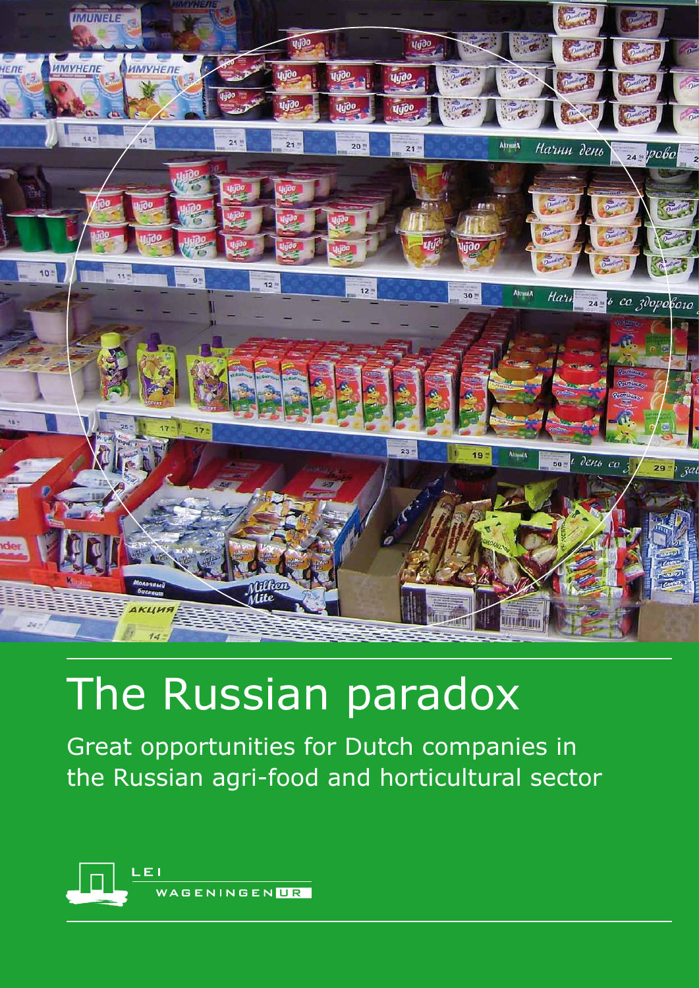

# The Russian paradox

Great opportunities for Dutch companies in the Russian agri-food and horticultural sector

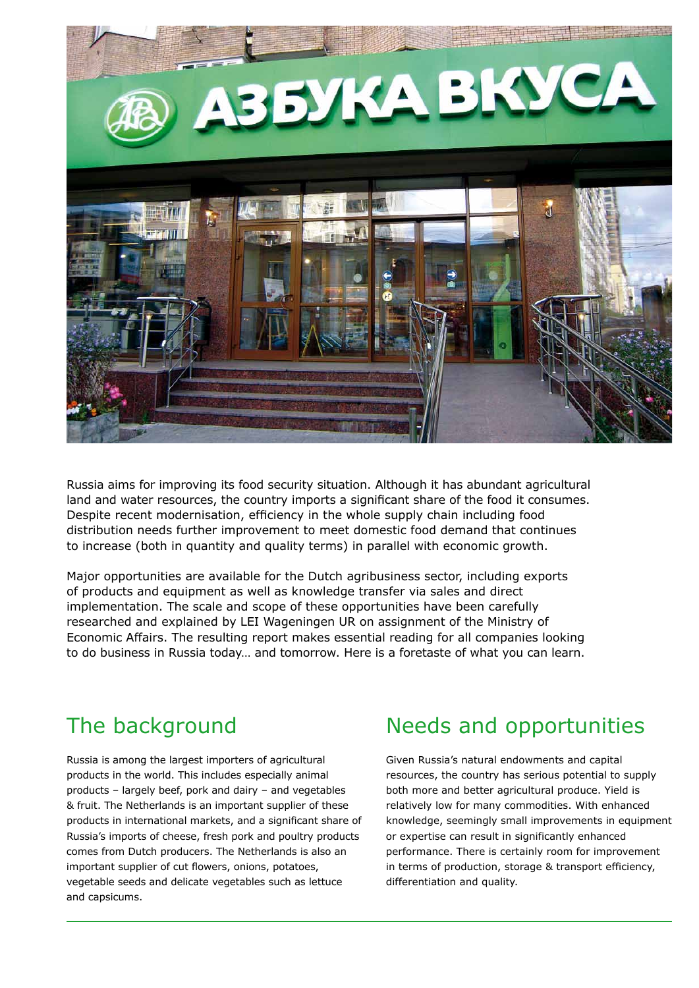

Russia aims for improving its food security situation. Although it has abundant agricultural land and water resources, the country imports a significant share of the food it consumes. Despite recent modernisation, efficiency in the whole supply chain including food distribution needs further improvement to meet domestic food demand that continues to increase (both in quantity and quality terms) in parallel with economic growth.

Major opportunities are available for the Dutch agribusiness sector, including exports of products and equipment as well as knowledge transfer via sales and direct implementation. The scale and scope of these opportunities have been carefully researched and explained by LEI Wageningen UR on assignment of the Ministry of Economic Affairs. The resulting report makes essential reading for all companies looking to do business in Russia today… and tomorrow. Here is a foretaste of what you can learn.

### The background

Russia is among the largest importers of agricultural products in the world. This includes especially animal products – largely beef, pork and dairy – and vegetables & fruit. The Netherlands is an important supplier of these products in international markets, and a significant share of Russia's imports of cheese, fresh pork and poultry products comes from Dutch producers. The Netherlands is also an important supplier of cut flowers, onions, potatoes, vegetable seeds and delicate vegetables such as lettuce and capsicums.

### Needs and opportunities

Given Russia's natural endowments and capital resources, the country has serious potential to supply both more and better agricultural produce. Yield is relatively low for many commodities. With enhanced knowledge, seemingly small improvements in equipment or expertise can result in significantly enhanced performance. There is certainly room for improvement in terms of production, storage & transport efficiency, differentiation and quality.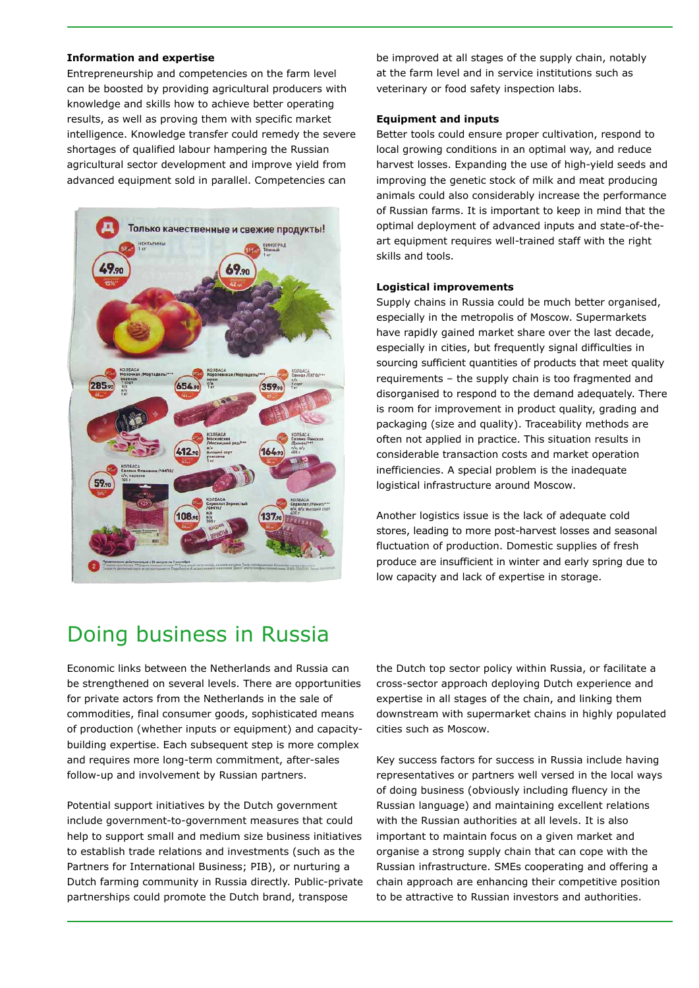#### **Information and expertise**

Entrepreneurship and competencies on the farm level can be boosted by providing agricultural producers with knowledge and skills how to achieve better operating results, as well as proving them with specific market intelligence. Knowledge transfer could remedy the severe shortages of qualified labour hampering the Russian agricultural sector development and improve yield from advanced equipment sold in parallel. Competencies can



be improved at all stages of the supply chain, notably at the farm level and in service institutions such as veterinary or food safety inspection labs.

#### **Equipment and inputs**

Better tools could ensure proper cultivation, respond to local growing conditions in an optimal way, and reduce harvest losses. Expanding the use of high-yield seeds and improving the genetic stock of milk and meat producing animals could also considerably increase the performance of Russian farms. It is important to keep in mind that the optimal deployment of advanced inputs and state-of-theart equipment requires well-trained staff with the right skills and tools.

#### **Logistical improvements**

Supply chains in Russia could be much better organised, especially in the metropolis of Moscow. Supermarkets have rapidly gained market share over the last decade, especially in cities, but frequently signal difficulties in sourcing sufficient quantities of products that meet quality requirements – the supply chain is too fragmented and disorganised to respond to the demand adequately. There is room for improvement in product quality, grading and packaging (size and quality). Traceability methods are often not applied in practice. This situation results in considerable transaction costs and market operation inefficiencies. A special problem is the inadequate logistical infrastructure around Moscow.

Another logistics issue is the lack of adequate cold stores, leading to more post-harvest losses and seasonal fluctuation of production. Domestic supplies of fresh produce are insufficient in winter and early spring due to low capacity and lack of expertise in storage.

### Doing business in Russia

Economic links between the Netherlands and Russia can be strengthened on several levels. There are opportunities for private actors from the Netherlands in the sale of commodities, final consumer goods, sophisticated means of production (whether inputs or equipment) and capacitybuilding expertise. Each subsequent step is more complex and requires more long-term commitment, after-sales follow-up and involvement by Russian partners.

Potential support initiatives by the Dutch government include government-to-government measures that could help to support small and medium size business initiatives to establish trade relations and investments (such as the Partners for International Business; PIB), or nurturing a Dutch farming community in Russia directly. Public-private partnerships could promote the Dutch brand, transpose

the Dutch top sector policy within Russia, or facilitate a cross-sector approach deploying Dutch experience and expertise in all stages of the chain, and linking them downstream with supermarket chains in highly populated cities such as Moscow.

Key success factors for success in Russia include having representatives or partners well versed in the local ways of doing business (obviously including fluency in the Russian language) and maintaining excellent relations with the Russian authorities at all levels. It is also important to maintain focus on a given market and organise a strong supply chain that can cope with the Russian infrastructure. SMEs cooperating and offering a chain approach are enhancing their competitive position to be attractive to Russian investors and authorities.